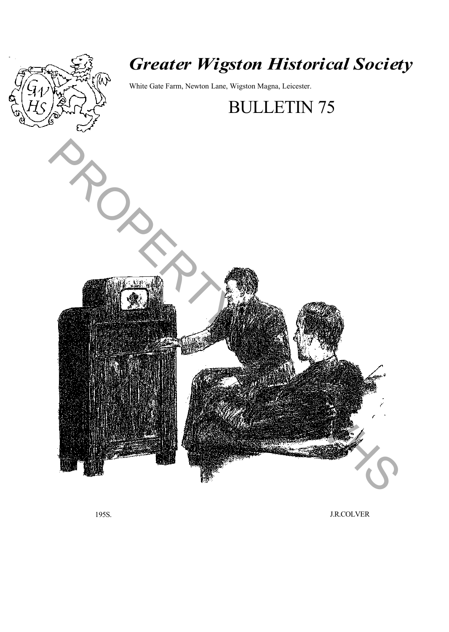

# *Greater Wigston Historical Society*

White Gate Farm, Newton Lane, Wigston Magna, Leicester.



195S. J.R.COLVER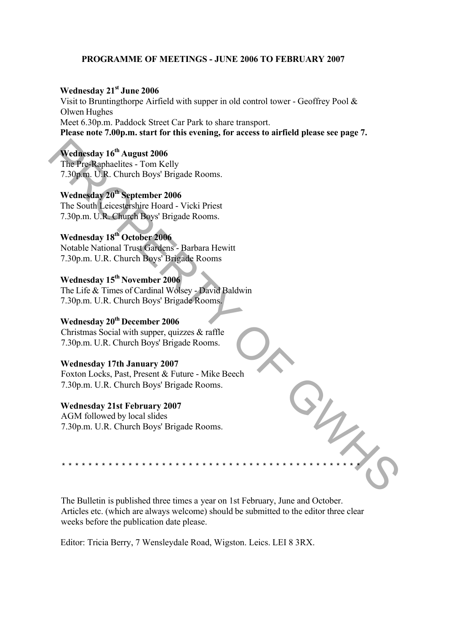# **PROGRAMME OF MEETINGS - JUNE 2006 TO FEBRUARY 2007**

# **Wednesday 21st June 2006**

Visit to Bruntingthorpe Airfield with supper in old control tower - Geoffrey Pool & Olwen Hughes Meet 6.30p.m. Paddock Street Car Park to share transport. **Please note 7.00p.m. start for this evening, for access to airfield please see page 7.**

# **Wednesday 16th August 2006**

The Pre-Raphaelites - Tom Kelly 7.30p.m. U.R. Church Boys' Brigade Rooms.

# **Wednesday 20th September 2006**

The South Leicestershire Hoard - Vicki Priest 7.30p.m. U.R. Church Boys' Brigade Rooms.

# **Wednesday 18th October 2006**

Notable National Trust Gardens - Barbara Hewitt 7.30p.m. U.R. Church Boys' Brigade Rooms Wednesday  $16^{\circ}$  August 2006<br>
The Pre-Raphaelites - Tom Kelly<br>
7.30p m U.R. Church Boys' Brigade Rooms.<br>
Wednesday 20<sup>th</sup> Records September 2006<br>
The South Leicestershire: Howel - Vicki Pricst<br>
7.30p.m. U.R. Church Boys

# **Wednesday 15th November 2006**

The Life & Times of Cardinal Wolsey - David Baldwin 7.30p.m. U.R. Church Boys' Brigade Rooms.

# **Wednesday 20th December 2006**

Christmas Social with supper, quizzes & raffle 7.30p.m. U.R. Church Boys' Brigade Rooms.

# **Wednesday 17th January 2007**

Foxton Locks, Past, Present & Future - Mike Beech 7.30p.m. U.R. Church Boys' Brigade Rooms.

### **Wednesday 21st February 2007**

AGM followed by local slides 7.30p.m. U.R. Church Boys' Brigade Rooms.

The Bulletin is published three times a year on 1st February, June and October. Articles etc. (which are always welcome) should be submitted to the editor three clear weeks before the publication date please.

*\* \* \* \* \* \* \* \* \* \* \* \* \* \* \* \* \* \* \* \* \* \* \* \* \* \* \* \* \* \* \* \* \* \* \* \* \* \* \* \* \* \* \* \* \**

Editor: Tricia Berry, 7 Wensleydale Road, Wigston. Leics. LEI 8 3RX.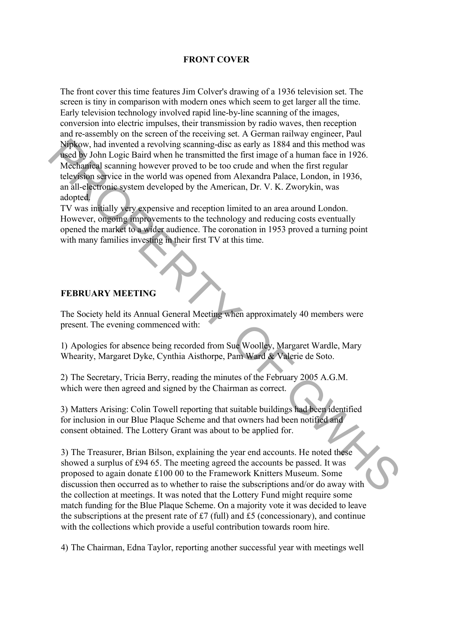# **FRONT COVER**

The front cover this time features Jim Colver's drawing of a 1936 television set. The screen is tiny in comparison with modern ones which seem to get larger all the time. Early television technology involved rapid line-by-line scanning of the images, conversion into electric impulses, their transmission by radio waves, then reception and re-assembly on the screen of the receiving set. A German railway engineer, Paul Nipkow, had invented a revolving scanning-disc as early as 1884 and this method was used by John Logic Baird when he transmitted the first image of a human face in 1926. Mechanical scanning however proved to be too crude and when the first regular television service in the world was opened from Alexandra Palace, London, in 1936, an all-electronic system developed by the American, Dr. V. K. Zworykin, was adopted. NipRov, had invented a revolving scanning disc as early as 1884 and this method was<br>
NipRope, Mod in logic Baind when he transmitted the first image of a human face in 1926.<br>
McChandrell scenaring however proved to be too

TV was initially very expensive and reception limited to an area around London. However, ongoing improvements to the technology and reducing costs eventually opened the market to a wider audience. The coronation in 1953 proved a turning point with many families investing in their first TV at this time.

# **FEBRUARY MEETING**

The Society held its Annual General Meeting when approximately 40 members were present. The evening commenced with:

1) Apologies for absence being recorded from Sue Woolley, Margaret Wardle, Mary Whearity, Margaret Dyke, Cynthia Aisthorpe, Pam Ward & Valerie de Soto.

2) The Secretary, Tricia Berry, reading the minutes of the February 2005 A.G.M. which were then agreed and signed by the Chairman as correct.

3) Matters Arising: Colin Towell reporting that suitable buildings had been identified for inclusion in our Blue Plaque Scheme and that owners had been notified and consent obtained. The Lottery Grant was about to be applied for.

3) The Treasurer, Brian Bilson, explaining the year end accounts. He noted these showed a surplus of £94 65. The meeting agreed the accounts be passed. It was proposed to again donate Ä100 00 to the Framework Knitters Museum. Some discussion then occurred as to whether to raise the subscriptions and/or do away with the collection at meetings. It was noted that the Lottery Fund might require some match funding for the Blue Plaque Scheme. On a majority vote it was decided to leave the subscriptions at the present rate of  $\text{\pounds}7$  (full) and  $\text{\pounds}5$  (concessionary), and continue with the collections which provide a useful contribution towards room hire.

4) The Chairman, Edna Taylor, reporting another successful year with meetings well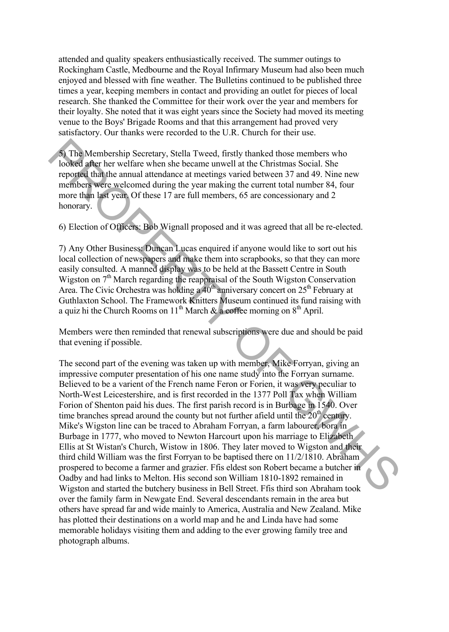attended and quality speakers enthusiastically received. The summer outings to Rockingham Castle, Medbourne and the Royal Infirmary Museum had also been much enjoyed and blessed with fine weather. The Bulletins continued to be published three times a year, keeping members in contact and providing an outlet for pieces of local research. She thanked the Committee for their work over the year and members for their loyalty. She noted that it was eight years since the Society had moved its meeting venue to the Boys' Brigade Rooms and that this arrangement had proved very satisfactory. Our thanks were recorded to the U.R. Church for their use.

5) The Membership Secretary, Stella Tweed, firstly thanked those members who looked after her welfare when she became unwell at the Christmas Social. She reported that the annual attendance at meetings varied between 37 and 49. Nine new members were welcomed during the year making the current total number 84, four more than last year. Of these 17 are full members, 65 are concessionary and 2 honorary.

6) Election of Officers: Bob Wignall proposed and it was agreed that all be re-elected.

7) Any Other Business: Duncan Lucas enquired if anyone would like to sort out his local collection of newspapers and make them into scrapbooks, so that they can more easily consulted. A manned display was to be held at the Bassett Centre in South Wigston on  $7<sup>th</sup>$  March regarding the reappraisal of the South Wigston Conservation Area. The Civic Orchestra was holding a  $40<sup>th</sup>$  anniversary concert on  $25<sup>th</sup>$  February at Guthlaxton School. The Framework Knitters Museum continued its fund raising with a quiz hi the Church Rooms on 11<sup>th</sup> March & a coffee morning on  $8<sup>th</sup>$  April.

Members were then reminded that renewal subscriptions were due and should be paid that evening if possible.

The second part of the evening was taken up with member, Mike Forryan, giving an impressive computer presentation of his one name study into the Forryan surname. Believed to be a varient of the French name Feron or Forien, it was very peculiar to North-West Leicestershire, and is first recorded in the 1377 Poll Tax when William Forion of Shenton paid his dues. The first parish record is in Burbage in 1540. Over time branches spread around the county but not further afield until the  $20<sup>th</sup>$  century. Mike's Wigston line can be traced to Abraham Forryan, a farm labourer, bora in Burbage in 1777, who moved to Newton Harcourt upon his marriage to Elizabeth Ellis at St Wistan's Church, Wistow in 1806. They later moved to Wigston and their third child William was the first Forryan to be baptised there on 11/2/1810. Abraham prospered to become a farmer and grazier. Ffis eldest son Robert became a butcher in Oadby and had links to Melton. His second son William 1810-1892 remained in Wigston and started the butchery business in Bell Street. Ffis third son Abraham took over the family farm in Newgate End. Several descendants remain in the area but others have spread far and wide mainly to America, Australia and New Zealand. Mike has plotted their destinations on a world map and he and Linda have had some memorable holidays visiting them and adding to the ever growing family tree and photograph albums. Started the Membership Secretary, Stella Tweed, firstly thanked those members who<br>looked after her welfare when she became unwell at the Christmas Social. She<br>reported that the annual attredate at mettings varied between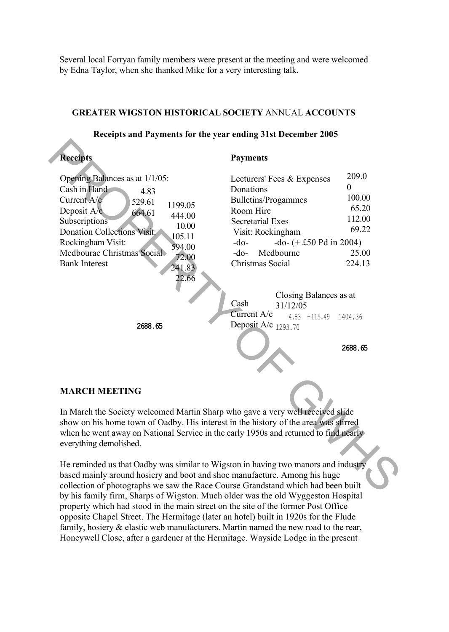Several local Forryan family members were present at the meeting and were welcomed by Edna Taylor, when she thanked Mike for a very interesting talk.

# **GREATER WIGSTON HISTORICAL SOCIETY** ANNUAL **ACCOUNTS**

#### **Receipts and Payments for the year ending 31st December 2005 Receipts** Opening Balances as at 1/1/05: Cash in Hand Current A/c Deposit A/c. Subscriptions Donation Collections Visit: Rockingham Visit: Medbourae Christmas Social Bank Interest **2688.65 Payments** Lecturers' Fees & Expenses Donations Bulletins/Progammes Room Hire Secretarial Exes Visit: Rockingham  $-do -do (+)$   $\pm$  50 Pd in 2004) -do- Medbourne 25.00 Christmas Social 224.13 Closing Balances as at 31/12/05 4.83 -115.49 1404.36 Deposit A/c  $_{1293.70}$ 4.83 529.61 664.61 1199.05 444.00 10.00 105.11 594.00 72.00 241.83 22.66 209.0 0 100.00 65.20 112.00 69.22 Cash Current A/c **Record Schemes Access 17/105:**<br>
Cash in Fiand 4.83 Donations 17/105:<br>
Cash in Fiand 4.83 Donations 17<br>
Care Cash in Fiand 4.83 Donations 100000<br>
Supersitions 16:000<br>
Supersitions 17:00:<br>
Supersitions 17:00:<br>
Supersitions

**2688.65**

# **MARCH MEETING**

In March the Society welcomed Martin Sharp who gave a very well received slide show on his home town of Oadby. His interest in the history of the area was stirred when he went away on National Service in the early 1950s and returned to find nearly everything demolished.

He reminded us that Oadby was similar to Wigston in having two manors and industry based mainly around hosiery and boot and shoe manufacture. Among his huge collection of photographs we saw the Race Course Grandstand which had been built by his family firm, Sharps of Wigston. Much older was the old Wyggeston Hospital property which had stood in the main street on the site of the former Post Office opposite Chapel Street. The Hermitage (later an hotel) built in 1920s for the Flude family, hosiery & elastic web manufacturers. Martin named the new road to the rear, Honeywell Close, after a gardener at the Hermitage. Wayside Lodge in the present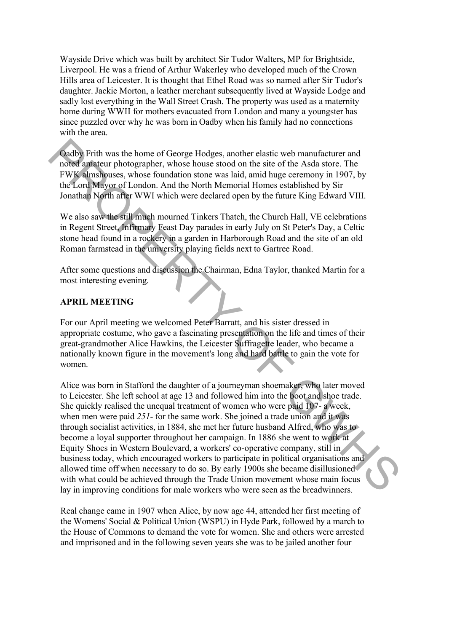Wayside Drive which was built by architect Sir Tudor Walters, MP for Brightside, Liverpool. He was a friend of Arthur Wakerley who developed much of the Crown Hills area of Leicester. It is thought that Ethel Road was so named after Sir Tudor's daughter. Jackie Morton, a leather merchant subsequently lived at Wayside Lodge and sadly lost everything in the Wall Street Crash. The property was used as a maternity home during WWII for mothers evacuated from London and many a youngster has since puzzled over why he was born in Oadby when his family had no connections with the area.

Oadby Frith was the home of George Hodges, another elastic web manufacturer and noted amateur photographer, whose house stood on the site of the Asda store. The FWK almshouses, whose foundation stone was laid, amid huge ceremony in 1907, by the Lord Mayor of London. And the North Memorial Homes established by Sir Jonathan North after WWI which were declared open by the future King Edward VIII.

We also saw the still much mourned Tinkers Thatch, the Church Hall, VE celebrations in Regent Street, Infirmary Feast Day parades in early July on St Peter's Day, a Celtic stone head found in a rockery in a garden in Harborough Road and the site of an old Roman farmstead in the university playing fields next to Gartree Road.

After some questions and discussion the Chairman, Edna Taylor, thanked Martin for a most interesting evening.

# **APRIL MEETING**

For our April meeting we welcomed Peter Barratt, and his sister dressed in appropriate costume, who gave a fascinating presentation on the life and times of their great-grandmother Alice Hawkins, the Leicester Suffragette leader, who became a nationally known figure in the movement's long and hard battle to gain the vote for women.

Alice was born in Stafford the daughter of a journeyman shoemaker, who later moved to Leicester. She left school at age 13 and followed him into the boot and shoe trade. She quickly realised the unequal treatment of women who were paid 107- a week, when men were paid 251- for the same work. She joined a trade union and it was through socialist activities, in 1884, she met her future husband Alfred, who was to become a loyal supporter throughout her campaign. In 1886 she went to work at Equity Shoes in Western Boulevard, a workers' co-operative company, still in business today, which encouraged workers to participate in political organisations and allowed time off when necessary to do so. By early 1900s she became disillusioned with what could be achieved through the Trade Union movement whose main focus lay in improving conditions for male workers who were seen as the breadwinners. Oadby Frith was the home of George Hodges, another elastic web manufacturer and<br>noted antateur photographer, whose house stood on the site of the Asda store. The<br>FW Kelambususs, whose loundstion stone was laid, annih larg

Real change came in 1907 when Alice, by now age 44, attended her first meeting of the Womens' Social & Political Union (WSPU) in Hyde Park, followed by a march to the House of Commons to demand the vote for women. She and others were arrested and imprisoned and in the following seven years she was to be jailed another four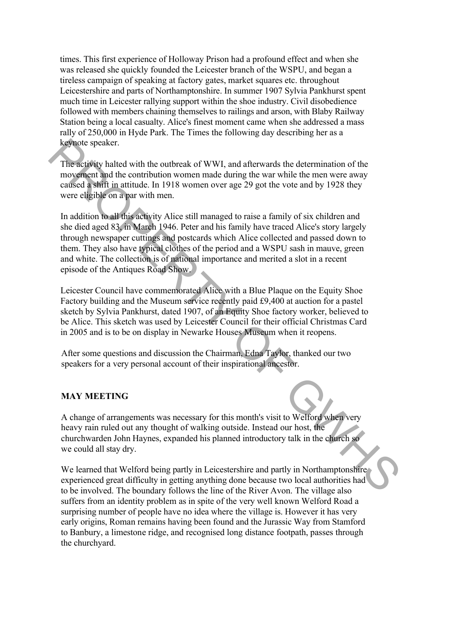times. This first experience of Holloway Prison had a profound effect and when she was released she quickly founded the Leicester branch of the WSPU, and began a tireless campaign of speaking at factory gates, market squares etc. throughout Leicestershire and parts of Northamptonshire. In summer 1907 Sylvia Pankhurst spent much time in Leicester rallying support within the shoe industry. Civil disobedience followed with members chaining themselves to railings and arson, with Blaby Railway Station being a local casualty. Alice's finest moment came when she addressed a mass rally of 250,000 in Hyde Park. The Times the following day describing her as a keynote speaker.

The activity halted with the outbreak of WWI, and afterwards the determination of the movement and the contribution women made during the war while the men were away caused a shift in attitude. In 1918 women over age 29 got the vote and by 1928 they were eligible on a par with men.

In addition to all this activity Alice still managed to raise a family of six children and she died aged 83, in March 1946. Peter and his family have traced Alice's story largely through newspaper cuttings and postcards which Alice collected and passed down to them. They also have typical clothes of the period and a WSPU sash in mauve, green and white. The collection is of national importance and merited a slot in a recent episode of the Antiques Road Show. **Explorate speaker.**<br>
The activity halted with the outbreak of WWI, and afterwards the determination of the measurement may may enverse that the contribution women made during the war which the men were away enversed a si

Leicester Council have commemorated Alice with a Blue Plaque on the Equity Shoe Factory building and the Museum service recently paid Ä9,400 at auction for a pastel sketch by Sylvia Pankhurst, dated 1907, of an Equity Shoe factory worker, believed to be Alice. This sketch was used by Leicester Council for their official Christmas Card in 2005 and is to be on display in Newarke Houses Museum when it reopens.

After some questions and discussion the Chairman, Edna Taylor, thanked our two speakers for a very personal account of their inspirational ancestor.

# **MAY MEETING**

A change of arrangements was necessary for this month's visit to Welford when very heavy rain ruled out any thought of walking outside. Instead our host, the churchwarden John Haynes, expanded his planned introductory talk in the church so we could all stay dry.

We learned that Welford being partly in Leicestershire and partly in Northamptonshire experienced great difficulty in getting anything done because two local authorities had to be involved. The boundary follows the line of the River Avon. The village also suffers from an identity problem as in spite of the very well known Welford Road a surprising number of people have no idea where the village is. However it has very early origins, Roman remains having been found and the Jurassic Way from Stamford to Banbury, a limestone ridge, and recognised long distance footpath, passes through the churchyard.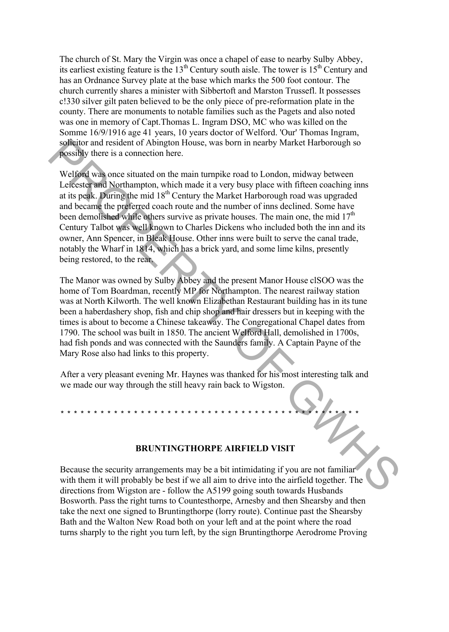The church of St. Mary the Virgin was once a chapel of ease to nearby Sulby Abbey, its earliest existing feature is the  $13<sup>th</sup>$  Century south aisle. The tower is  $15<sup>th</sup>$  Century and has an Ordnance Survey plate at the base which marks the 500 foot contour. The church currently shares a minister with Sibbertoft and Marston Trussefl. It possesses c!330 silver gilt paten believed to be the only piece of pre-reformation plate in the county. There are monuments to notable families such as the Pagets and also noted was one in memory of Capt.Thomas L. Ingram DSO, MC who was killed on the Somme 16/9/1916 age 41 years, 10 years doctor of Welford. 'Our' Thomas Ingram, solicitor and resident of Abington House, was born in nearby Market Harborough so possibly there is a connection here.

Welford was once situated on the main turnpike road to London, midway between Leicester and Northampton, which made it a very busy place with fifteen coaching inns at its peak. During the mid  $18<sup>th</sup>$  Century the Market Harborough road was upgraded and became the preferred coach route and the number of inns declined. Some have been demolished while others survive as private houses. The main one, the mid  $17<sup>th</sup>$ Century Talbot was well known to Charles Dickens who included both the inn and its owner, Ann Spencer, in Bleak House. Other inns were built to serve the canal trade, notably the Wharf in 1814, which has a brick yard, and some lime kilns, presently being restored, to the rear. solution and resident of Abington House, was born in nearby Market Harborough so<br>
spessibly there is a connection here.<br>
Lefected with Orthampton, which made it a very busy place with filteen coaching ims<br>
dettis polit. D

The Manor was owned by Sulby Abbey and the present Manor House clSOO was the home of Tom Boardman, recently MP for Northampton. The nearest railway station was at North Kilworth. The well known Elizabethan Restaurant building has in its tune been a haberdashery shop, fish and chip shop and hair dressers but in keeping with the times is about to become a Chinese takeaway. The Congregational Chapel dates from 1790. The school was built in 1850. The ancient Welford Hall, demolished in 1700s, had fish ponds and was connected with the Saunders family. A Captain Payne of the Mary Rose also had links to this property.

After a very pleasant evening Mr. Haynes was thanked for his most interesting talk and we made our way through the still heavy rain back to Wigston.

\* \* \* \* \* \* \* \* \* \* \* \* \* \* \* \* \* \* \* \* \* \* \* \* \* \* \* \* \* \* \* \* \* \* \* \* \* \* \* \* \* \* \* \* \*

# **BRUNTINGTHORPE AIRFIELD VISIT**

Because the security arrangements may be a bit intimidating if you are not familiar with them it will probably be best if we all aim to drive into the airfield together. The directions from Wigston are - follow the A5199 going south towards Husbands Bosworth. Pass the right turns to Countesthorpe, Arnesby and then Shearsby and then take the next one signed to Bruntingthorpe (lorry route). Continue past the Shearsby Bath and the Walton New Road both on your left and at the point where the road turns sharply to the right you turn left, by the sign Bruntingthorpe Aerodrome Proving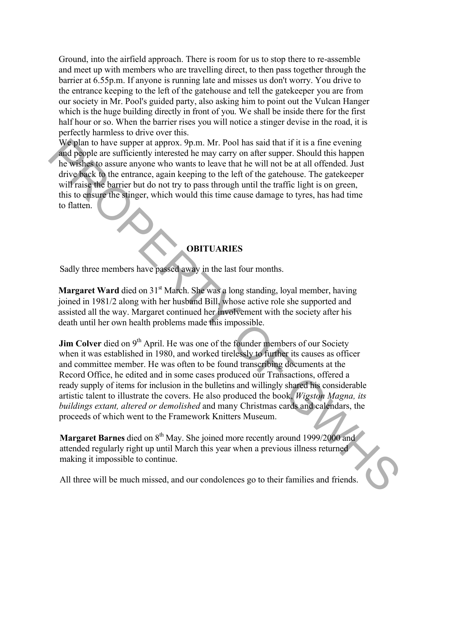Ground, into the airfield approach. There is room for us to stop there to re-assemble and meet up with members who are travelling direct, to then pass together through the barrier at 6.55p.m. If anyone is running late and misses us don't worry. You drive to the entrance keeping to the left of the gatehouse and tell the gatekeeper you are from our society in Mr. Pool's guided party, also asking him to point out the Vulcan Hanger which is the huge building directly in front of you. We shall be inside there for the first half hour or so. When the barrier rises you will notice a stinger devise in the road, it is perfectly harmless to drive over this.

We plan to have supper at approx. 9p.m. Mr. Pool has said that if it is a fine evening and people are sufficiently interested he may carry on after supper. Should this happen he wishes to assure anyone who wants to leave that he will not be at all offended. Just drive back to the entrance, again keeping to the left of the gatehouse. The gatekeeper will raise the barrier but do not try to pass through until the traffic light is on green, this to ensure the stinger, which would this time cause damage to tyres, has had time to flatten.

# **OBITUARIES**

Sadly three members have passed away in the last four months.

**Margaret Ward** died on 31<sup>st</sup> March. She was a long standing, loyal member, having joined in 1981/2 along with her husband Bill, whose active role she supported and assisted all the way. Margaret continued her involvement with the society after his death until her own health problems made this impossible.

**Jim Colver** died on 9<sup>th</sup> April. He was one of the founder members of our Society when it was established in 1980, and worked tirelessly to further its causes as officer and committee member. He was often to be found transcribing documents at the Record Office, he edited and in some cases produced our Transactions, offered a ready supply of items for inclusion in the bulletins and willingly shared his considerable artistic talent to illustrate the covers. He also produced the book, *Wigston Magna, its buildings extant, altered or demolished* and many Christmas cards and calendars, the proceeds of which went to the Framework Knitters Museum. We plan to have suppor at approx. 9pm. Mr. Pool has said that if it is a fire cvening the state of the proper state in the same compute the state of the system is the weight of the system with the set of the system with t

Margaret Barnes died on 8<sup>th</sup> May. She joined more recently around 1999/2000 and attended regularly right up until March this year when a previous illness returned making it impossible to continue.

All three will be much missed, and our condolences go to their families and friends.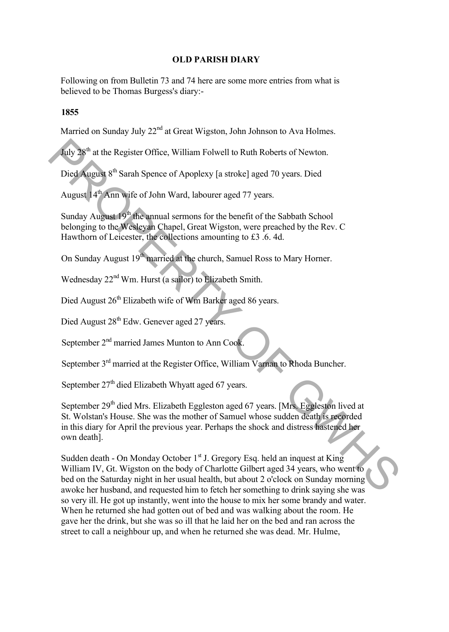# **OLD PARISH DIARY**

Following on from Bulletin 73 and 74 here are some more entries from what is believed to be Thomas Burgess's diary:-

# **1855**

Married on Sunday July 22<sup>nd</sup> at Great Wigston, John Johnson to Ava Holmes.

July 28th at the Register Office, William Folwell to Ruth Roberts of Newton.

Died August 8<sup>th</sup> Sarah Spence of Apoplexy [a stroke] aged 70 years. Died

August 14<sup>th</sup> Ann wife of John Ward, labourer aged 77 years.

Sunday August  $19<sup>th</sup>$  the annual sermons for the benefit of the Sabbath School belonging to the Wesleyan Chapel, Great Wigston, were preached by the Rev. C Hawthorn of Leicester, the collections amounting to £3 .6. 4d.

On Sunday August 19<sup>th</sup> married at the church, Samuel Ross to Mary Horner.

Wednesday 22<sup>nd</sup> Wm. Hurst (a sailor) to Elizabeth Smith.

Died August 26<sup>th</sup> Elizabeth wife of Wm Barker aged 86 years.

Died August 28<sup>th</sup> Edw. Genever aged 27 years.

September 2<sup>nd</sup> married James Munton to Ann Cook.

September 3<sup>rd</sup> married at the Register Office, William Varnan to Rhoda Buncher.

September  $27<sup>th</sup>$  died Elizabeth Whyatt aged 67 years.

September 29<sup>th</sup> died Mrs. Elizabeth Eggleston aged 67 years. [Mrs. Eggleston lived at St. Wolstan's House. She was the mother of Samuel whose sudden death is recorded in this diary for April the previous year. Perhaps the shock and distress hastened her own death].

Sudden death - On Monday October 1<sup>st</sup> J. Gregory Esq. held an inquest at King William IV, Gt. Wigston on the body of Charlotte Gilbert aged 34 years, who went to bed on the Saturday night in her usual health, but about 2 o'clock on Sunday morning awoke her husband, and requested him to fetch her something to drink saying she was so very ill. He got up instantly, went into the house to mix her some brandy and water. When he returned she had gotten out of bed and was walking about the room. He gave her the drink, but she was so ill that he laid her on the bed and ran across the street to call a neighbour up, and when he returned she was dead. Mr. Hulme, Tuly 28<sup>th</sup> at the Register Office, William Folwell to Ruth Roberts of Newton.<br>
Died August 8<sup>th</sup> Sarah Spence of Apoplexy [a stroke] aged 70 years. Died<br>
August 8<sup>th</sup> Samh Spence of Apoplexy [a stroke] aged 70 years. Die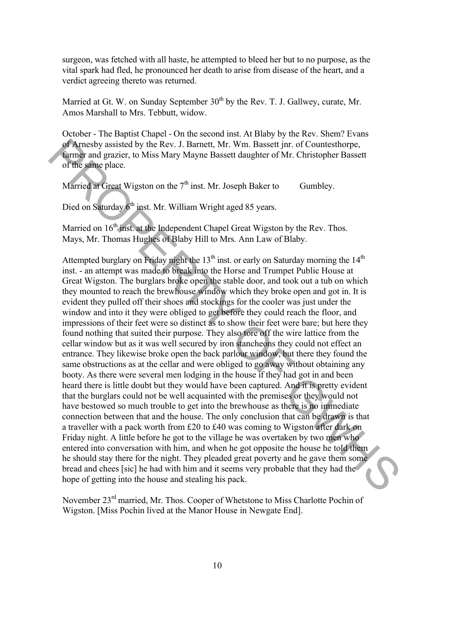surgeon, was fetched with all haste, he attempted to bleed her but to no purpose, as the vital spark had fled, he pronounced her death to arise from disease of the heart, and a verdict agreeing thereto was returned.

Married at Gt. W. on Sunday September  $30<sup>th</sup>$  by the Rev. T. J. Gallwey, curate, Mr. Amos Marshall to Mrs. Tebbutt, widow.

October - The Baptist Chapel - On the second inst. At Blaby by the Rev. Shem? Evans of Arnesby assisted by the Rev. J. Barnett, Mr. Wm. Bassett jnr. of Countesthorpe, farmer and grazier, to Miss Mary Mayne Bassett daughter of Mr. Christopher Bassett of the same place.

Married at Great Wigston on the  $7<sup>th</sup>$  inst. Mr. Joseph Baker to Gumbley.

Died on Saturday 6<sup>th</sup> inst. Mr. William Wright aged 85 years.

Married on  $16<sup>th</sup>$  inst. at the Independent Chapel Great Wigston by the Rev. Thos. Mays, Mr. Thomas Hughes of Blaby Hill to Mrs. Ann Law of Blaby.

Attempted burglary on Friday night the  $13<sup>th</sup>$  inst. or early on Saturday morning the  $14<sup>th</sup>$ inst. - an attempt was made to break into the Horse and Trumpet Public House at Great Wigston. The burglars broke open the stable door, and took out a tub on which they mounted to reach the brewhouse window which they broke open and got in. It is evident they pulled off their shoes and stockings for the cooler was just under the window and into it they were obliged to get before they could reach the floor, and impressions of their feet were so distinct as to show their feet were bare; but here they found nothing that suited their purpose. They also tore off the wire lattice from the cellar window but as it was well secured by iron stancheons they could not effect an entrance. They likewise broke open the back parlour window, but there they found the same obstructions as at the cellar and were obliged to go away without obtaining any booty. As there were several men lodging in the house if they had got in and been heard there is little doubt but they would have been captured. And it is pretty evident that the burglars could not be well acquainted with the premises or they would not have bestowed so much trouble to get into the brewhouse as there is no immediate connection between that and the house. The only conclusion that can be drawn is that a traveller with a pack worth from £20 to £40 was coming to Wigston after dark on Friday night. A little before he got to the village he was overtaken by two men who entered into conversation with him, and when he got opposite the house he told them he should stay there for the night. They pleaded great poverty and he gave them some bread and chees [sic] he had with him and it seems very probable that they had the hope of getting into the house and stealing his pack. of Amendy assisted by the Rev. J. Bamett, Mr. Wm. Bassett jmr. of Countesthorpe,<br>of Ameeby assisted by the Rev. J. Bamett, Mr. Wm. Bassett dure<br>there of the same place.<br>Narried at Great Wigston on the 7<sup>th</sup> inst. Mr. Jose

November 23rd married, Mr. Thos. Cooper of Whetstone to Miss Charlotte Pochin of Wigston. [Miss Pochin lived at the Manor House in Newgate End].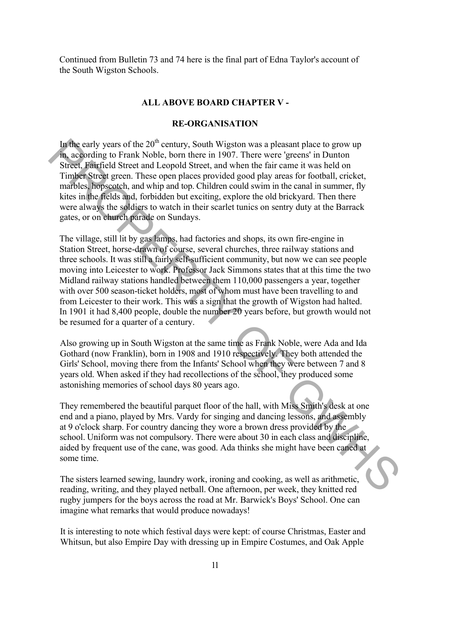Continued from Bulletin 73 and 74 here is the final part of Edna Taylor's account of the South Wigston Schools.

#### **ALL ABOVE BOARD CHAPTER V -**

# **RE-ORGANISATION**

In the early years of the  $20<sup>th</sup>$  century, South Wigston was a pleasant place to grow up in, according to Frank Noble, born there in 1907. There were 'greens' in Dunton Street, Fairfield Street and Leopold Street, and when the fair came it was held on Timber Street green. These open places provided good play areas for football, cricket, marbles, hopscotch, and whip and top. Children could swim in the canal in summer, fly kites in the fields and, forbidden but exciting, explore the old brickyard. Then there were always the soldiers to watch in their scarlet tunics on sentry duty at the Barrack gates, or on church parade on Sundays.

The village, still lit by gas lamps, had factories and shops, its own fire-engine in Station Street, horse-drawn of course, several churches, three railway stations and three schools. It was still a fairly self-sufficient community, but now we can see people moving into Leicester to work. Professor Jack Simmons states that at this time the two Midland railway stations handled between them 110,000 passengers a year, together with over 500 season-ticket holders, most of whom must have been travelling to and from Leicester to their work. This was a sign that the growth of Wigston had halted. In 1901 it had 8,400 people, double the number 20 years before, but growth would not be resumed for a quarter of a century. In the early years of the 20<sup>°</sup> century, South Wigston was a pleasant place to grow up<br>the mate peace of the 2<sup>c</sup> centure and the mate in 1907. There were "greens" in Dunton<br>Street, Fairfield Street and Leopold Street, an

Also growing up in South Wigston at the same time as Frank Noble, were Ada and Ida Gothard (now Franklin), born in 1908 and 1910 respectively. They both attended the Girls' School, moving there from the Infants' School when they were between 7 and 8 years old. When asked if they had recollections of the school, they produced some astonishing memories of school days 80 years ago.

They remembered the beautiful parquet floor of the hall, with Miss Smith's desk at one end and a piano, played by Mrs. Vardy for singing and dancing lessons, and assembly at 9 o'clock sharp. For country dancing they wore a brown dress provided by the school. Uniform was not compulsory. There were about 30 in each class and discipline, aided by frequent use of the cane, was good. Ada thinks she might have been caned at some time.

The sisters learned sewing, laundry work, ironing and cooking, as well as arithmetic, reading, writing, and they played netball. One afternoon, per week, they knitted red rugby jumpers for the boys across the road at Mr. Barwick's Boys' School. One can imagine what remarks that would produce nowadays!

It is interesting to note which festival days were kept: of course Christmas, Easter and Whitsun, but also Empire Day with dressing up in Empire Costumes, and Oak Apple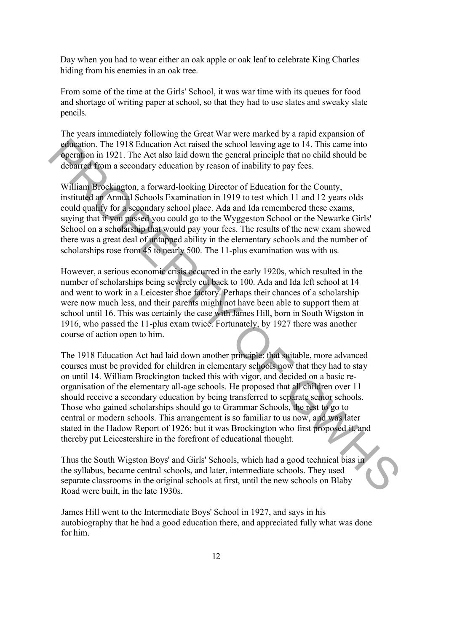Day when you had to wear either an oak apple or oak leaf to celebrate King Charles hiding from his enemies in an oak tree.

From some of the time at the Girls' School, it was war time with its queues for food and shortage of writing paper at school, so that they had to use slates and sweaky slate pencils.

The years immediately following the Great War were marked by a rapid expansion of education. The 1918 Education Act raised the school leaving age to 14. This came into operation in 1921. The Act also laid down the general principle that no child should be debarred from a secondary education by reason of inability to pay fees.

William Brockington, a forward-looking Director of Education for the County, instituted an Annual Schools Examination in 1919 to test which 11 and 12 years olds could qualify for a secondary school place. Ada and Ida remembered these exams, saying that if you passed you could go to the Wyggeston School or the Newarke Girls' School on a scholarship that would pay your fees. The results of the new exam showed there was a great deal of untapped ability in the elementary schools and the number of scholarships rose from 45 to nearly 500. The 11-plus examination was with us.

However, a serious economic crisis occurred in the early 1920s, which resulted in the number of scholarships being severely cut back to 100. Ada and Ida left school at 14 and went to work in a Leicester shoe factory. Perhaps their chances of a scholarship were now much less, and their parents might not have been able to support them at school until 16. This was certainly the case with James Hill, born in South Wigston in 1916, who passed the 11-plus exam twice. Fortunately, by 1927 there was another course of action open to him.

The 1918 Education Act had laid down another principle: that suitable, more advanced courses must be provided for children in elementary schools now that they had to stay on until 14. William Brockington tacked this with vigor, and decided on a basic reorganisation of the elementary all-age schools. He proposed that all children over 11 should receive a secondary education by being transferred to separate senior schools. Those who gained scholarships should go to Grammar Schools, the rest to go to central or modern schools. This arrangement is so familiar to us now, and was later stated in the Hadow Report of 1926; but it was Brockington who first proposed it, and thereby put Leicestershire in the forefront of educational thought. **educion** The 1918 Education Act rised the school leaving age to 14. This came into<br>equation in 1921. The Act also laid down the general principle that on child should be<br>downth to mentally contained by reason of inabilit

Thus the South Wigston Boys' and Girls' Schools, which had a good technical bias in the syllabus, became central schools, and later, intermediate schools. They used separate classrooms in the original schools at first, until the new schools on Blaby Road were built, in the late 1930s.

James Hill went to the Intermediate Boys' School in 1927, and says in his autobiography that he had a good education there, and appreciated fully what was done for him.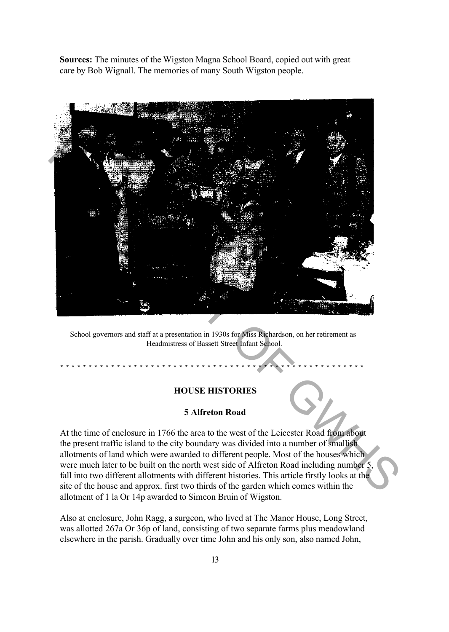**Sources:** The minutes of the Wigston Magna School Board, copied out with great care by Bob Wignall. The memories of many South Wigston people.



School governors and staff at a presentation in 1930s for Miss Richardson, on her retirement as Headmistress of Bassett Street Infant School.

# **HOUSE HISTORIES**

\* \* \* \* \* \* \* \* \* \* \* \* \* \* \* \* \* \* \* \* \* \* \* \* \* \* \* \* \* \* \* \* \* \* \* \* \* \* \* \* \* \* \* \* \* \* \* \* \* \* \* \* \* \*

### **5 Alfreton Road**

At the time of enclosure in 1766 the area to the west of the Leicester Road from about the present traffic island to the city boundary was divided into a number of smallish allotments of land which were awarded to different people. Most of the houses which were much later to be built on the north west side of Alfreton Road including number 5, fall into two different allotments with different histories. This article firstly looks at the site of the house and approx. first two thirds of the garden which comes within the allotment of 1 la Or 14p awarded to Simeon Bruin of Wigston.

Also at enclosure, John Ragg, a surgeon, who lived at The Manor House, Long Street, was allotted 267a Or 36p of land, consisting of two separate farms plus meadowland elsewhere in the parish. Gradually over time John and his only son, also named John,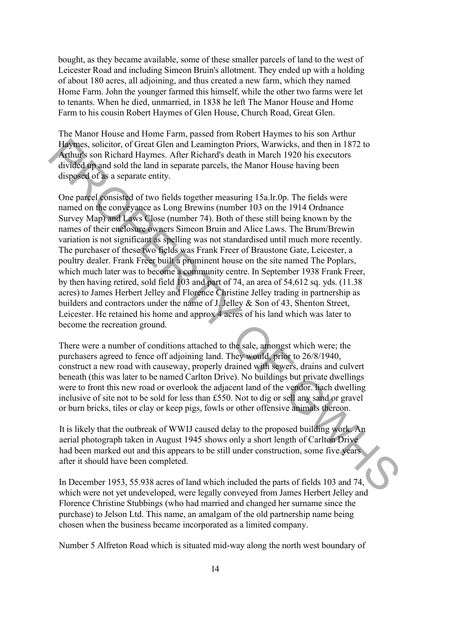bought, as they became available, some of these smaller parcels of land to the west of Leicester Road and including Simeon Bruin's allotment. They ended up with a holding of about 180 acres, all adjoining, and thus created a new farm, which they named Home Farm. John the younger farmed this himself, while the other two farms were let to tenants. When he died, unmarried, in 1838 he left The Manor House and Home Farm to his cousin Robert Haymes of Glen House, Church Road, Great Glen.

The Manor House and Home Farm, passed from Robert Haymes to his son Arthur Haymes, solicitor, of Great Glen and Leamington Priors, Warwicks, and then in 1872 to Arthur's son Richard Haymes. After Richard's death in March 1920 his executors divided up and sold the land in separate parcels, the Manor House having been disposed of as a separate entity.

One parcel consisted of two fields together measuring 15a.lr.0p. The fields were named on the conveyance as Long Brewins (number 103 on the 1914 Ordnance Survey Map) and Laws Close (number 74). Both of these still being known by the names of their enclosure owners Simeon Bruin and Alice Laws. The Brum/Brewin variation is not significant as spelling was not standardised until much more recently. The purchaser of these two fields was Frank Freer of Braustone Gate, Leicester, a poultry dealer. Frank Freer built a prominent house on the site named The Poplars, which much later was to become a community centre. In September 1938 Frank Freer, by then having retired, sold field 103 and part of 74, an area of 54,612 sq. yds. (11.38 acres) to James Herbert Jelley and Florence Christine Jelley trading in partnership as builders and contractors under the name of J. Jelley & Son of 43, Shenton Street, Leicester. He retained his home and approx 4 acres of his land which was later to become the recreation ground. Howe, soliciter, of Great Glen mail caminanty on Prior, Waiwitek, and then in 1872 to<br>Archives, soliciter Great Glen and Caminanty on Prior and Caminanty and the main space of this sections<br>divided appears of two fields t

There were a number of conditions attached to the sale, amongst which were; the purchasers agreed to fence off adjoining land. They would, prior to 26/8/1940, construct a new road with causeway, properly drained with sewers, drains and culvert beneath (this was later to be named Carlton Drive). No buildings but private dwellings were to front this new road or overlook the adjacent land of the vendor. liach dwelling inclusive of site not to be sold for less than  $£550$ . Not to dig or sell any sand or gravel or burn bricks, tiles or clay or keep pigs, fowls or other offensive animals thereon.

It is likely that the outbreak of WWIJ caused delay to the proposed building work. An aerial photograph taken in August 1945 shows only a short length of Carlton Drive had been marked out and this appears to be still under construction, some five years after it should have been completed.

In December 1953, 55.938 acres of land which included the parts of fields 103 and 74, which were not yet undeveloped, were legally conveyed from James Herbert Jelley and Florence Christine Stubbings (who had married and changed her surname since the purchase) to Jelson Ltd. This name, an amalgam of the old partnership name being chosen when the business became incorporated as a limited company.

Number 5 Alfreton Road which is situated mid-way along the north west boundary of